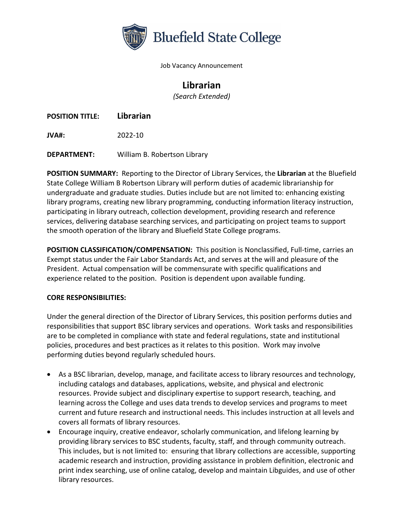

Job Vacancy Announcement

## **Librarian**

*(Search Extended)*

**POSITION TITLE: Librarian**

**JVA#:** 2022-10

**DEPARTMENT:** William B. Robertson Library

**POSITION SUMMARY:** Reporting to the Director of Library Services, the **Librarian** at the Bluefield State College William B Robertson Library will perform duties of academic librarianship for undergraduate and graduate studies. Duties include but are not limited to: enhancing existing library programs, creating new library programming, conducting information literacy instruction, participating in library outreach, collection development, providing research and reference services, delivering database searching services, and participating on project teams to support the smooth operation of the library and Bluefield State College programs.

**POSITION CLASSIFICATION/COMPENSATION:** This position is Nonclassified, Full-time, carries an Exempt status under the Fair Labor Standards Act, and serves at the will and pleasure of the President. Actual compensation will be commensurate with specific qualifications and experience related to the position. Position is dependent upon available funding.

## **CORE RESPONSIBILITIES:**

Under the general direction of the Director of Library Services, this position performs duties and responsibilities that support BSC library services and operations. Work tasks and responsibilities are to be completed in compliance with state and federal regulations, state and institutional policies, procedures and best practices as it relates to this position. Work may involve performing duties beyond regularly scheduled hours.

- As a BSC librarian, develop, manage, and facilitate access to library resources and technology, including catalogs and databases, applications, website, and physical and electronic resources. Provide subject and disciplinary expertise to support research, teaching, and learning across the College and uses data trends to develop services and programs to meet current and future research and instructional needs. This includes instruction at all levels and covers all formats of library resources.
- Encourage inquiry, creative endeavor, scholarly communication, and lifelong learning by providing library services to BSC students, faculty, staff, and through community outreach. This includes, but is not limited to: ensuring that library collections are accessible, supporting academic research and instruction, providing assistance in problem definition, electronic and print index searching, use of online catalog, develop and maintain Libguides, and use of other library resources.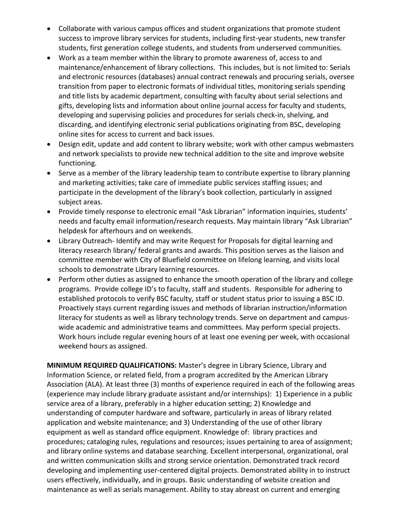- Collaborate with various campus offices and student organizations that promote student success to improve library services for students, including first-year students, new transfer students, first generation college students, and students from underserved communities.
- Work as a team member within the library to promote awareness of, access to and maintenance/enhancement of library collections. This includes, but is not limited to: Serials and electronic resources (databases) annual contract renewals and procuring serials, oversee transition from paper to electronic formats of individual titles, monitoring serials spending and title lists by academic department, consulting with faculty about serial selections and gifts, developing lists and information about online journal access for faculty and students, developing and supervising policies and procedures for serials check-in, shelving, and discarding, and identifying electronic serial publications originating from BSC, developing online sites for access to current and back issues.
- Design edit, update and add content to library website; work with other campus webmasters and network specialists to provide new technical addition to the site and improve website functioning.
- Serve as a member of the library leadership team to contribute expertise to library planning and marketing activities; take care of immediate public services staffing issues; and participate in the development of the library's book collection, particularly in assigned subject areas.
- Provide timely response to electronic email "Ask Librarian" information inquiries, students' needs and faculty email information/research requests. May maintain library "Ask Librarian" helpdesk for afterhours and on weekends.
- Library Outreach- Identify and may write Request for Proposals for digital learning and literacy research library/ federal grants and awards. This position serves as the liaison and committee member with City of Bluefield committee on lifelong learning, and visits local schools to demonstrate Library learning resources.
- Perform other duties as assigned to enhance the smooth operation of the library and college programs. Provide college ID's to faculty, staff and students. Responsible for adhering to established protocols to verify BSC faculty, staff or student status prior to issuing a BSC ID. Proactively stays current regarding issues and methods of librarian instruction/information literacy for students as well as library technology trends. Serve on department and campuswide academic and administrative teams and committees. May perform special projects. Work hours include regular evening hours of at least one evening per week, with occasional weekend hours as assigned.

**MINIMUM REQUIRED QUALIFICATIONS:** Master's degree in Library Science, Library and Information Science, or related field, from a program accredited by the American Library Association (ALA). At least three (3) months of experience required in each of the following areas (experience may include library graduate assistant and/or internships): 1) Experience in a public service area of a library, preferably in a higher education setting; 2) Knowledge and understanding of computer hardware and software, particularly in areas of library related application and website maintenance; and 3) Understanding of the use of other library equipment as well as standard office equipment. Knowledge of: library practices and procedures; cataloging rules, regulations and resources; issues pertaining to area of assignment; and library online systems and database searching. Excellent interpersonal, organizational, oral and written communication skills and strong service orientation. Demonstrated track record developing and implementing user-centered digital projects. Demonstrated ability in to instruct users effectively, individually, and in groups. Basic understanding of website creation and maintenance as well as serials management. Ability to stay abreast on current and emerging